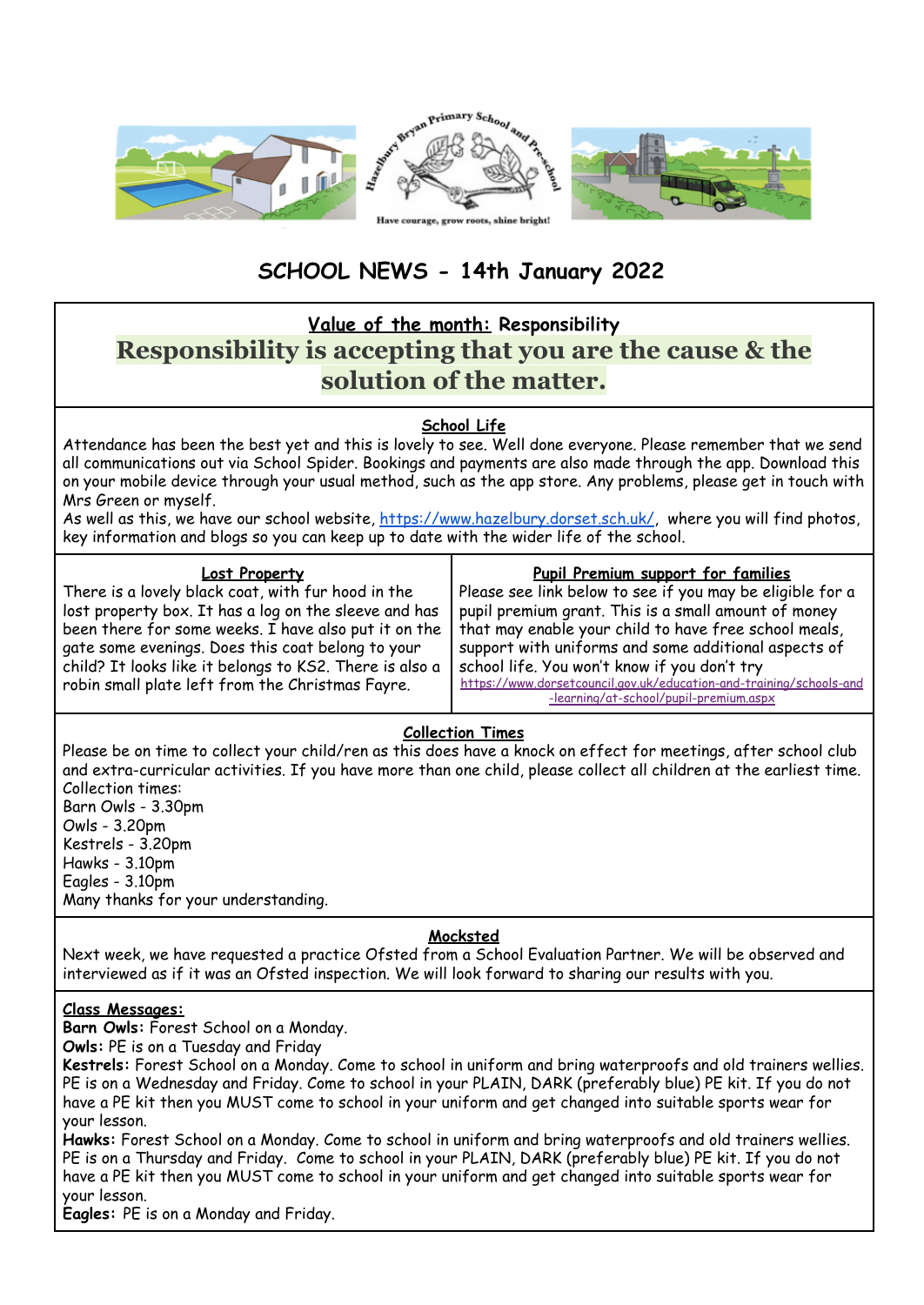

# **SCHOOL NEWS - 14th January 2022**

# **Value of the month: Responsibility Responsibility is accepting that you are the cause & the solution of the matter.**

# **School Life**

Attendance has been the best yet and this is lovely to see. Well done everyone. Please remember that we send all communications out via School Spider. Bookings and payments are also made through the app. Download this on your mobile device through your usual method, such as the app store. Any problems, please get in touch with Mrs Green or myself.

As well as this, we have our school website, <https://www.hazelbury.dorset.sch.uk/>, where you will find photos, key information and blogs so you can keep up to date with the wider life of the school.

#### **Lost Property**

There is a lovely black coat, with fur hood in the lost property box. It has a log on the sleeve and has been there for some weeks. I have also put it on the gate some evenings. Does this coat belong to your child? It looks like it belongs to KS2. There is also a robin small plate left from the Christmas Fayre.

#### **Pupil Premium support for families**

Please see link below to see if you may be eligible for a pupil premium grant. This is a small amount of money that may enable your child to have free school meals, support with uniforms and some additional aspects of school life. You won't know if you don't try [https://www.dorsetcouncil.gov.uk/education-and-training/schools-and](https://www.dorsetcouncil.gov.uk/education-and-training/schools-and-learning/at-school/pupil-premium.aspx) [-learning/at-school/pupil-premium.aspx](https://www.dorsetcouncil.gov.uk/education-and-training/schools-and-learning/at-school/pupil-premium.aspx)

# **Collection Times**

Please be on time to collect your child/ren as this does have a knock on effect for meetings, after school club and extra-curricular activities. If you have more than one child, please collect all children at the earliest time. Collection times: Barn Owls - 3.30pm Owls - 3.20pm Kestrels - 3.20pm

Hawks - 3.10pm Eagles - 3.10pm Many thanks for your understanding.

# **Mocksted**

Next week, we have requested a practice Ofsted from a School Evaluation Partner. We will be observed and interviewed as if it was an Ofsted inspection. We will look forward to sharing our results with you.

# **Class Messages:**

**Barn Owls:** Forest School on a Monday.

**Owls:** PE is on a Tuesday and Friday

**Kestrels:** Forest School on a Monday. Come to school in uniform and bring waterproofs and old trainers wellies. PE is on a Wednesday and Friday. Come to school in your PLAIN, DARK (preferably blue) PE kit. If you do not have a PE kit then you MUST come to school in your uniform and get changed into suitable sports wear for your lesson.

**Hawks:** Forest School on a Monday. Come to school in uniform and bring waterproofs and old trainers wellies. PE is on a Thursday and Friday. Come to school in your PLAIN, DARK (preferably blue) PE kit. If you do not have a PE kit then you MUST come to school in your uniform and get changed into suitable sports wear for your lesson.

**Eagles:** PE is on a Monday and Friday.